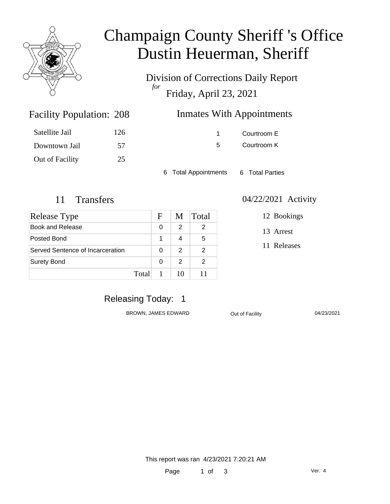

# Champaign County Sheriff 's Office Dustin Heuerman, Sheriff

Division of Corrections Daily Report *for* Friday, April 23, 2021

| 208 | <b>Inmates With Appointments</b> |
|-----|----------------------------------|
|     |                                  |

| Satellite Jail  | 126 |
|-----------------|-----|
| Downtown Jail   | 57  |
| Out of Facility | 25  |

Facility Population: 208

1 Courtroom E

5 Courtroom K

6 Total Appointments 6 Total Parties

| Release Type                     |        | F | M  | Total |
|----------------------------------|--------|---|----|-------|
| Book and Release                 |        | 0 | 2  | 2     |
| Posted Bond                      |        | 1 | 4  | 5     |
| Served Sentence of Incarceration |        | 0 | 2  | 2     |
| <b>Surety Bond</b>               |        | 0 | 2  | 2     |
|                                  | Totall |   | 10 |       |

#### 11 Transfers 04/22/2021 Activity

12 Bookings

13 Arrest

11 Releases

### Releasing Today: 1

BROWN, JAMES EDWARD **Out of Facility** 04/23/2021

This report was ran 4/23/2021 7:20:21 AM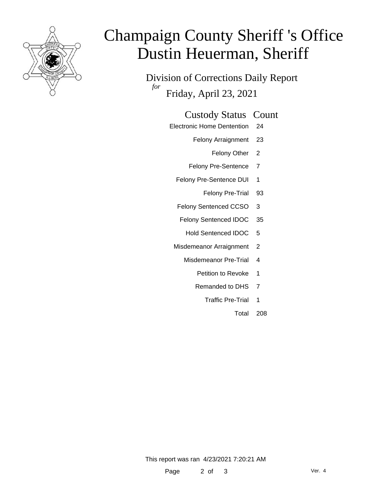

# Champaign County Sheriff 's Office Dustin Heuerman, Sheriff

Division of Corrections Daily Report *for* Friday, April 23, 2021

#### Custody Status Count

- Electronic Home Dentention 24
	- Felony Arraignment 23
		- Felony Other 2
	- Felony Pre-Sentence 7
	- Felony Pre-Sentence DUI 1
		- Felony Pre-Trial 93
	- Felony Sentenced CCSO 3
	- Felony Sentenced IDOC 35
		- Hold Sentenced IDOC 5
	- Misdemeanor Arraignment 2
		- Misdemeanor Pre-Trial 4
			- Petition to Revoke 1
			- Remanded to DHS 7
				- Traffic Pre-Trial 1
					- Total 208

This report was ran 4/23/2021 7:20:21 AM